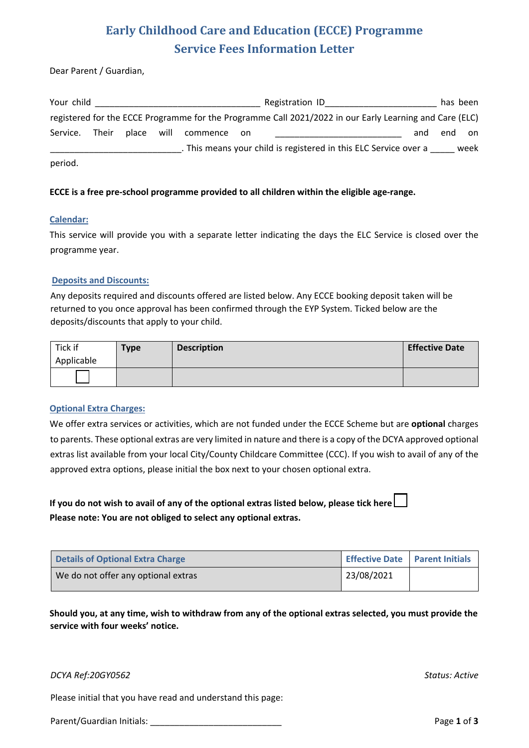# **Early Childhood Care and Education (ECCE) Programme Service Fees Information Letter**

Dear Parent / Guardian,

| Your child |       |            |          |       | Registration ID                                                                                         |     | has been |      |
|------------|-------|------------|----------|-------|---------------------------------------------------------------------------------------------------------|-----|----------|------|
|            |       |            |          |       | registered for the ECCE Programme for the Programme Call 2021/2022 in our Early Learning and Care (ELC) |     |          |      |
| Service.   | Their | place will | commence | on on |                                                                                                         | and | end      | on   |
|            |       |            |          |       | . This means your child is registered in this ELC Service over a                                        |     |          | week |
| period.    |       |            |          |       |                                                                                                         |     |          |      |

# **ECCE is a free pre-school programme provided to all children within the eligible age-range.**

#### **Calendar:**

This service will provide you with a separate letter indicating the days the ELC Service is closed over the programme year.

#### **Deposits and Discounts:**

Any deposits required and discounts offered are listed below. Any ECCE booking deposit taken will be returned to you once approval has been confirmed through the EYP System. Ticked below are the deposits/discounts that apply to your child.

| Tick if<br>Applicable | <b>Type</b> | <b>Description</b> | <b>Effective Date</b> |
|-----------------------|-------------|--------------------|-----------------------|
|                       |             |                    |                       |

# **Optional Extra Charges:**

We offer extra services or activities, which are not funded under the ECCE Scheme but are **optional** charges to parents. These optional extras are very limited in nature and there is a copy of the DCYA approved optional extras list available from your local City/County Childcare Committee (CCC). If you wish to avail of any of the approved extra options, please initial the box next to your chosen optional extra.

**If you do not wish to avail of any of the optional extras listed below, please tick here Please note: You are not obliged to select any optional extras.** 

| Details of Optional Extra Charge    | <b>Effective Date   Parent Initials</b> |  |
|-------------------------------------|-----------------------------------------|--|
| We do not offer any optional extras | 23/08/2021                              |  |

**Should you, at any time, wish to withdraw from any of the optional extras selected, you must provide the service with four weeks' notice.**

# *DCYA Ref:20GY0562 Status: Active*

Please initial that you have read and understand this page:

Parent/Guardian Initials: \_\_\_\_\_\_\_\_\_\_\_\_\_\_\_\_\_\_\_\_\_\_\_\_\_\_\_ Page **1** of **3**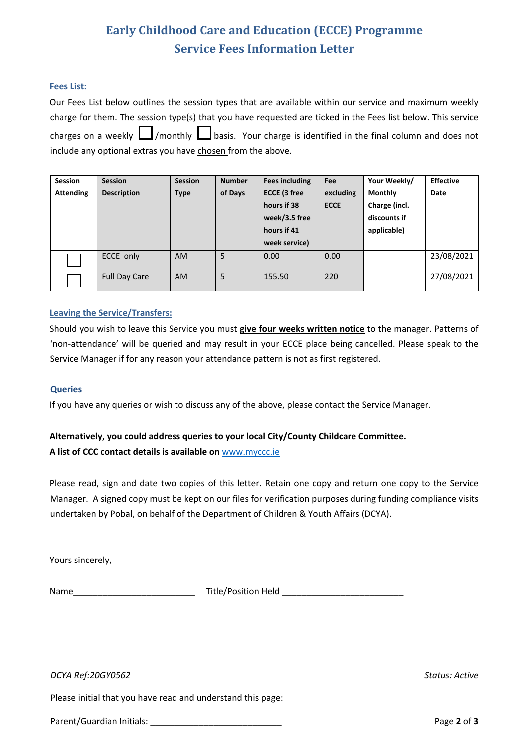# **Early Childhood Care and Education (ECCE) Programme Service Fees Information Letter**

# **Fees List:**

Our Fees List below outlines the session types that are available within our service and maximum weekly charge for them. The session type(s) that you have requested are ticked in the Fees list below. This service charges on a weekly  $\Box$ /monthly  $\Box$  basis. Your charge is identified in the final column and does not include any optional extras you have chosen from the above.

| <b>Session</b>   | <b>Session</b>       | <b>Session</b> | <b>Number</b> | <b>Fees including</b> | Fee         | Your Weekly/   | <b>Effective</b> |
|------------------|----------------------|----------------|---------------|-----------------------|-------------|----------------|------------------|
| <b>Attending</b> | <b>Description</b>   | <b>Type</b>    | of Days       | ECCE (3 free          | excluding   | <b>Monthly</b> | Date             |
|                  |                      |                |               | hours if 38           | <b>ECCE</b> | Charge (incl.  |                  |
|                  |                      |                |               | week/3.5 free         |             | discounts if   |                  |
|                  |                      |                |               | hours if 41           |             | applicable)    |                  |
|                  |                      |                |               | week service)         |             |                |                  |
|                  | ECCE only            | <b>AM</b>      | 5             | 0.00                  | 0.00        |                | 23/08/2021       |
|                  | <b>Full Day Care</b> | <b>AM</b>      | 5             | 155.50                | 220         |                | 27/08/2021       |

# **Leaving the Service/Transfers:**

Should you wish to leave this Service you must **give four weeks written notice** to the manager. Patterns of 'non-attendance' will be queried and may result in your ECCE place being cancelled. Please speak to the Service Manager if for any reason your attendance pattern is not as first registered.

# **Queries**

If you have any queries or wish to discuss any of the above, please contact the Service Manager.

# **Alternatively, you could address queries to your local City/County Childcare Committee. A list of CCC contact details is available on** www.myccc.ie

Please read, sign and date two copies of this letter. Retain one copy and return one copy to the Service Manager. A signed copy must be kept on our files for verification purposes during funding compliance visits undertaken by Pobal, on behalf of the Department of Children & Youth Affairs (DCYA).

Yours sincerely,

Name\_\_\_\_\_\_\_\_\_\_\_\_\_\_\_\_\_\_\_\_\_\_\_\_\_ Title/Position Held \_\_\_\_\_\_\_\_\_\_\_\_\_\_\_\_\_\_\_\_\_\_\_\_\_

*DCYA Ref:20GY0562 Status: Active*

Please initial that you have read and understand this page:

Parent/Guardian Initials: \_\_\_\_\_\_\_\_\_\_\_\_\_\_\_\_\_\_\_\_\_\_\_\_\_\_\_ Page **2** of **3**